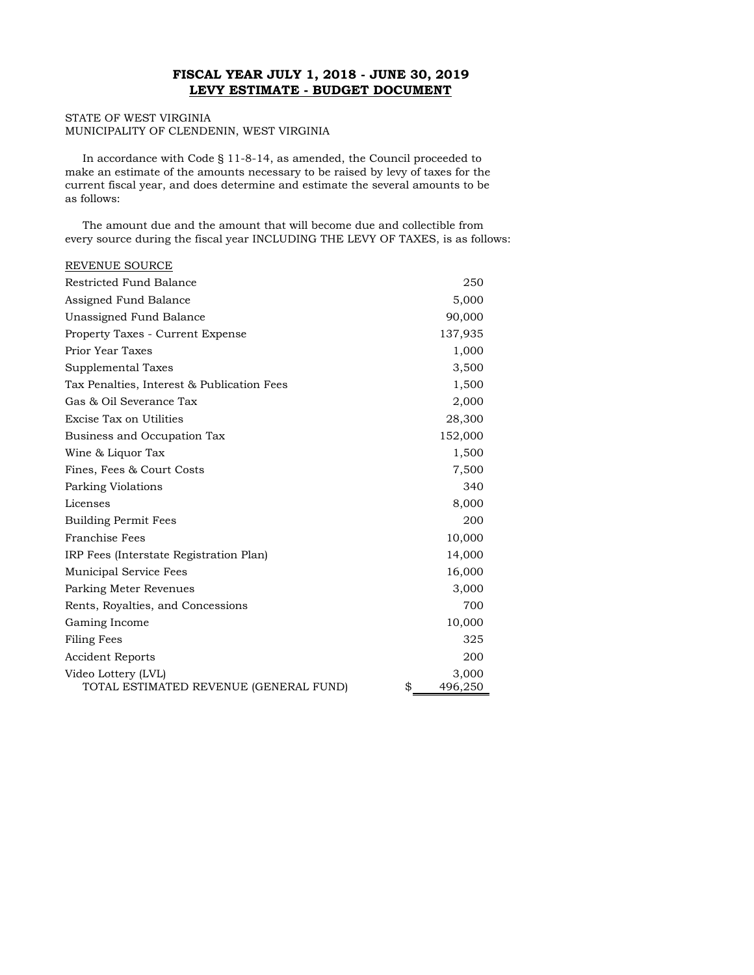### **FISCAL YEAR JULY 1, 2018 - JUNE 30, 2019 LEVY ESTIMATE - BUDGET DOCUMENT**

#### STATE OF WEST VIRGINIA MUNICIPALITY OF CLENDENIN, WEST VIRGINIA

In accordance with Code § 11-8-14, as amended, the Council proceeded to make an estimate of the amounts necessary to be raised by levy of taxes for the current fiscal year, and does determine and estimate the several amounts to be as follows:

 The amount due and the amount that will become due and collectible from every source during the fiscal year INCLUDING THE LEVY OF TAXES, is as follows:

| <b>REVENUE SOURCE</b>                                         |                        |
|---------------------------------------------------------------|------------------------|
| Restricted Fund Balance                                       | 250                    |
| Assigned Fund Balance                                         | 5,000                  |
| Unassigned Fund Balance                                       | 90,000                 |
| Property Taxes - Current Expense                              | 137,935                |
| Prior Year Taxes                                              | 1,000                  |
| Supplemental Taxes                                            | 3,500                  |
| Tax Penalties, Interest & Publication Fees                    | 1,500                  |
| Gas & Oil Severance Tax                                       | 2,000                  |
| <b>Excise Tax on Utilities</b>                                | 28,300                 |
| Business and Occupation Tax                                   | 152,000                |
| Wine & Liquor Tax                                             | 1,500                  |
| Fines, Fees & Court Costs                                     | 7,500                  |
| Parking Violations                                            | 340                    |
| Licenses                                                      | 8,000                  |
| <b>Building Permit Fees</b>                                   | 200                    |
| Franchise Fees                                                | 10,000                 |
| IRP Fees (Interstate Registration Plan)                       | 14,000                 |
| <b>Municipal Service Fees</b>                                 | 16,000                 |
| Parking Meter Revenues                                        | 3,000                  |
| Rents, Royalties, and Concessions                             | 700                    |
| Gaming Income                                                 | 10,000                 |
| <b>Filing Fees</b>                                            | 325                    |
| <b>Accident Reports</b>                                       | 200                    |
| Video Lottery (LVL)<br>TOTAL ESTIMATED REVENUE (GENERAL FUND) | \$<br>3,000<br>496,250 |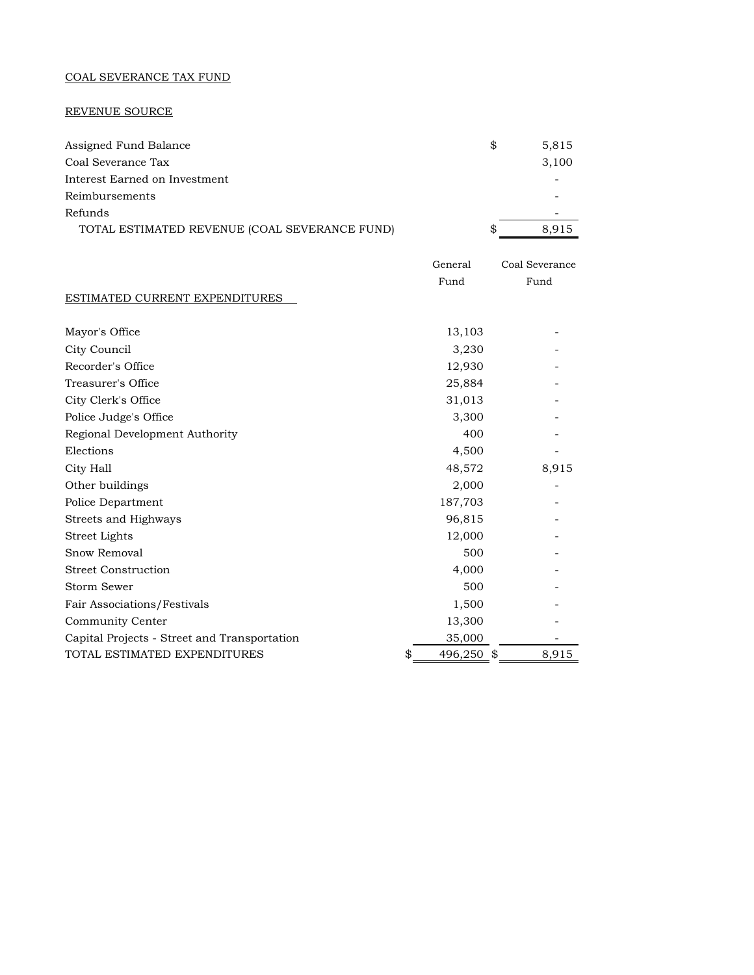## COAL SEVERANCE TAX FUND

#### REVENUE SOURCE

| Assigned Fund Balance                         | \$ | 5,815 |
|-----------------------------------------------|----|-------|
| Coal Severance Tax                            |    | 3.100 |
| Interest Earned on Investment                 |    |       |
| Reimbursements                                |    |       |
| Refunds                                       |    |       |
| TOTAL ESTIMATED REVENUE (COAL SEVERANCE FUND) | SS | 8.915 |
|                                               |    |       |

|                                              | General          | Coal Severance |
|----------------------------------------------|------------------|----------------|
|                                              | Fund             | Fund           |
| ESTIMATED CURRENT EXPENDITURES               |                  |                |
|                                              |                  |                |
| Mayor's Office                               | 13,103           |                |
| City Council                                 | 3,230            |                |
| Recorder's Office                            | 12,930           |                |
| Treasurer's Office                           | 25,884           |                |
| City Clerk's Office                          | 31,013           |                |
| Police Judge's Office                        | 3,300            |                |
| Regional Development Authority               | 400              |                |
| Elections                                    | 4,500            |                |
| City Hall                                    | 48,572           | 8,915          |
| Other buildings                              | 2,000            |                |
| Police Department                            | 187,703          |                |
| Streets and Highways                         | 96,815           |                |
| <b>Street Lights</b>                         | 12,000           |                |
| Snow Removal                                 | 500              |                |
| <b>Street Construction</b>                   | 4,000            |                |
| Storm Sewer                                  | 500              |                |
| Fair Associations/Festivals                  | 1,500            |                |
| Community Center                             | 13,300           |                |
| Capital Projects - Street and Transportation | 35,000           |                |
| TOTAL ESTIMATED EXPENDITURES                 | \$<br>496,250 \$ | 8,915          |